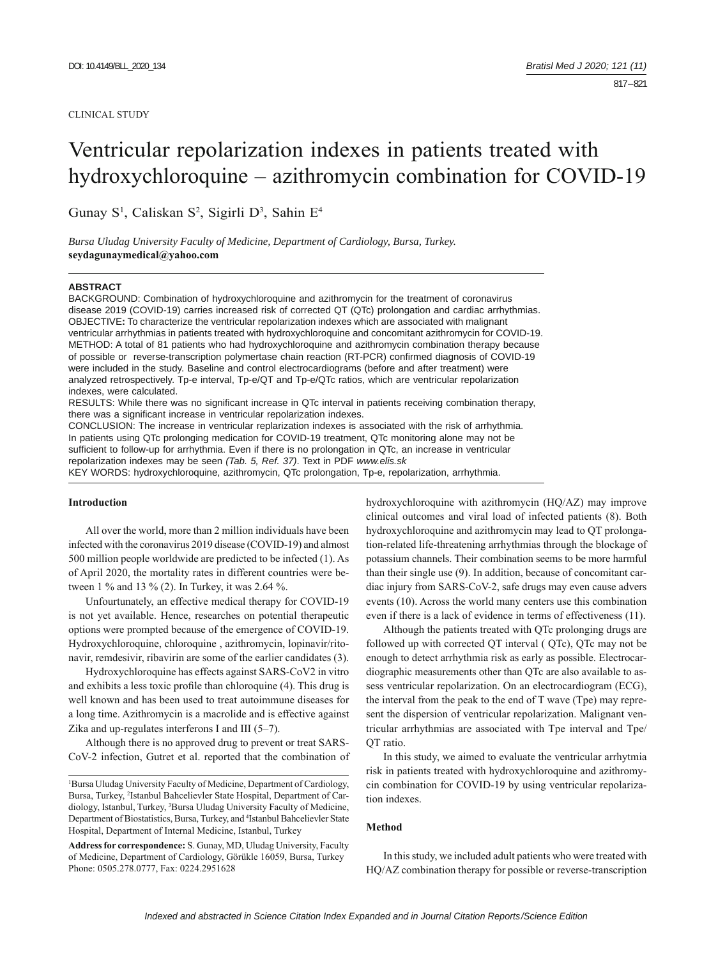#### CLINICAL STUDY

# Ventricular repolarization indexes in patients treated with hydroxychloroquine – azithromycin combination for COVID-19

Gunay S<sup>1</sup>, Caliskan S<sup>2</sup>, Sigirli D<sup>3</sup>, Sahin E<sup>4</sup>

*Bursa Uludag University Faculty of Medicine, Department of Cardiology, Bursa, Turkey.*  **seydagunaymedical@yahoo.com**

#### **ABSTRACT**

BACKGROUND: Combination of hydroxychloroquine and azithromycin for the treatment of coronavirus disease 2019 (COVID-19) carries increased risk of corrected QT (QTc) prolongation and cardiac arrhythmias. OBJECTIVE**:** To characterize the ventricular repolarization indexes which are associated with malignant ventricular arrhythmias in patients treated with hydroxychloroquine and concomitant azithromycin for COVID-19. METHOD: A total of 81 patients who had hydroxychloroquine and azithromycin combination therapy because of possible or reverse-transcription polymertase chain reaction (RT-PCR) confirmed diagnosis of COVID-19 were included in the study. Baseline and control electrocardiograms (before and after treatment) were analyzed retrospectively. Tp-e interval, Tp-e/QT and Tp-e/QTc ratios, which are ventricular repolarization indexes, were calculated.

RESULTS: While there was no significant increase in QTc interval in patients receiving combination therapy, there was a significant increase in ventricular repolarization indexes.

CONCLUSION: The increase in ventricular replarization indexes is associated with the risk of arrhythmia. In patients using QTc prolonging medication for COVID-19 treatment, QTc monitoring alone may not be sufficient to follow-up for arrhythmia. Even if there is no prolongation in QTc, an increase in ventricular repolarization indexes may be seen *(Tab. 5, Ref. 37)*. Text in PDF *www.elis.sk* KEY WORDS: hydroxychloroquine, azithromycin, QTc prolongation, Tp-e, repolarization, arrhythmia.

## **Introduction**

All over the world, more than 2 million individuals have been infected with the coronavirus 2019 disease (COVID-19) and almost 500 million people worldwide are predicted to be infected (1). As of April 2020, the mortality rates in different countries were between 1 % and 13 % (2). In Turkey, it was 2.64 %.

Unfourtunately, an effective medical therapy for COVID-19 is not yet available. Hence, researches on potential therapeutic options were prompted because of the emergence of COVID-19. Hydroxychloroquine, chloroquine , azithromycin, lopinavir/ritonavir, remdesivir, ribavirin are some of the earlier candidates (3).

Hydroxychloroquine has effects against SARS-CoV2 in vitro and exhibits a less toxic profile than chloroquine (4). This drug is well known and has been used to treat autoimmune diseases for a long time. Azithromycin is a macrolide and is effective against Zika and up-regulates interferons I and III (5–7).

Although there is no approved drug to prevent or treat SARS-CoV-2 infection, Gutret et al. reported that the combination of

**Address for correspondence:** S. Gunay, MD, Uludag University, Faculty of Medicine, Department of Cardiology, Görükle 16059, Bursa, Turkey Phone: 0505.278.0777, Fax: 0224.2951628

hydroxychloroquine with azithromycin (HQ/AZ) may improve clinical outcomes and viral load of infected patients (8). Both hydroxychloroquine and azithromycin may lead to QT prolongation-related life-threatening arrhythmias through the blockage of potassium channels. Their combination seems to be more harmful than their single use (9). In addition, because of concomitant cardiac injury from SARS-CoV-2, safe drugs may even cause advers events (10). Across the world many centers use this combination even if there is a lack of evidence in terms of effectiveness (11).

Although the patients treated with OTc prolonging drugs are followed up with corrected QT interval ( QTc), QTc may not be enough to detect arrhythmia risk as early as possible. Electrocardiographic measurements other than QTc are also available to assess ventricular repolarization. On an electrocardiogram (ECG), the interval from the peak to the end of T wave (Tpe) may represent the dispersion of ventricular repolarization. Malignant ventricular arrhythmias are associated with Tpe interval and Tpe/ QT ratio.

In this study, we aimed to evaluate the ventricular arrhytmia risk in patients treated with hydroxychloroquine and azithromycin combination for COVID-19 by using ventricular repolarization indexes.

## **Method**

In this study, we included adult patients who were treated with HQ/AZ combination therapy for possible or reverse-transcription

<sup>1</sup> Bursa Uludag University Faculty of Medicine, Department of Cardiology, Bursa, Turkey, <sup>2</sup>Istanbul Bahcelievler State Hospital, Department of Cardiology, Istanbul, Turkey, 3 Bursa Uludag University Faculty of Medicine, Department of Biostatistics, Bursa, Turkey, and <sup>4</sup>Istanbul Bahcelievler State Hospital, Department of Internal Medicine, Istanbul, Turkey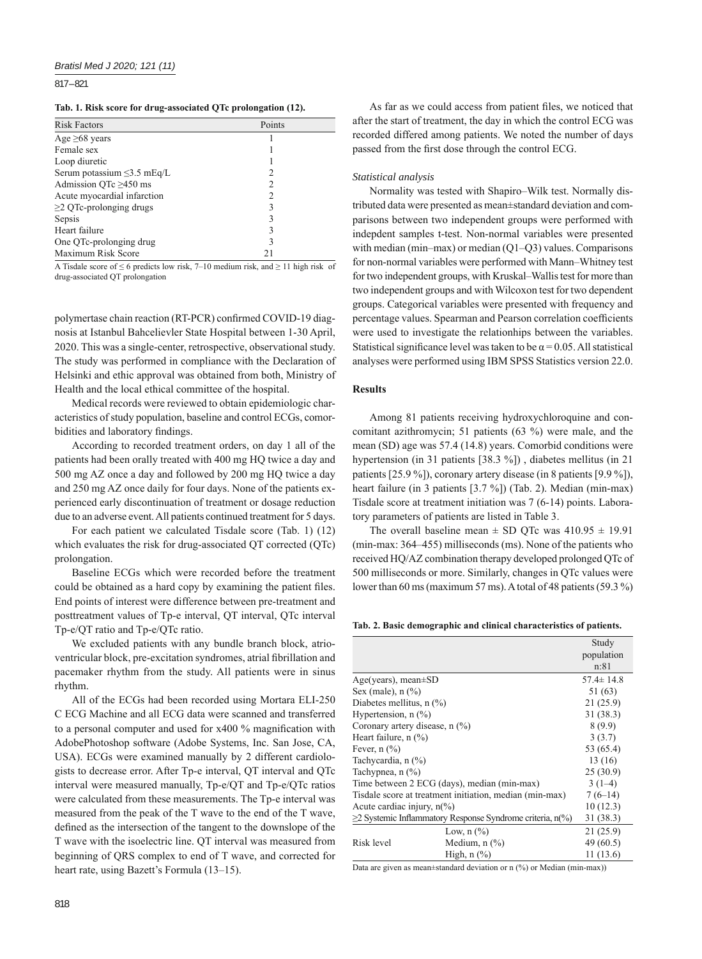817 – 821

| Tab. 1. Risk score for drug-associated QTc prolongation (12). |  |  |  |
|---------------------------------------------------------------|--|--|--|
|---------------------------------------------------------------|--|--|--|

| <b>Risk Factors</b>              | Points |
|----------------------------------|--------|
| Age $\geq 68$ years              |        |
| Female sex                       |        |
| Loop diuretic                    |        |
| Serum potassium $\leq$ 3.5 mEq/L | 2      |
| Admission QTc $\geq$ 450 ms      | 2      |
| Acute myocardial infarction      | 2      |
| $\geq$ QTc-prolonging drugs      | 3      |
| Sepsis                           | 3      |
| Heart failure                    |        |
| One QTc-prolonging drug          | 3      |
| Maximum Risk Score               | 21     |

A Tisdale score of  $\leq$  6 predicts low risk, 7–10 medium risk, and  $\geq$  11 high risk of drug-associated QT prolongation

polymertase chain reaction (RT-PCR) confirmed COVID-19 diagnosis at Istanbul Bahcelievler State Hospital between 1-30 April, 2020. This was a single-center, retrospective, observational study. The study was performed in compliance with the Declaration of Helsinki and ethic approval was obtained from both, Ministry of Health and the local ethical committee of the hospital.

Medical records were reviewed to obtain epidemiologic characteristics of study population, baseline and control ECGs, comorbidities and laboratory findings.

According to recorded treatment orders, on day 1 all of the patients had been orally treated with 400 mg HQ twice a day and 500 mg AZ once a day and followed by 200 mg HQ twice a day and 250 mg AZ once daily for four days. None of the patients experienced early discontinuation of treatment or dosage reduction due to an adverse event. All patients continued treatment for 5 days.

For each patient we calculated Tisdale score (Tab. 1) (12) which evaluates the risk for drug-associated QT corrected (QTc) prolongation.

Baseline ECGs which were recorded before the treatment could be obtained as a hard copy by examining the patient files. End points of interest were difference between pre-treatment and posttreatment values of Tp-e interval, QT interval, QTc interval Tp-e/QT ratio and Tp-e/QTc ratio.

We excluded patients with any bundle branch block, atrioventricular block, pre-excitation syndromes, atrial fibrillation and pacemaker rhythm from the study. All patients were in sinus rhythm.

All of the ECGs had been recorded using Mortara ELI-250 C ECG Machine and all ECG data were scanned and transferred to a personal computer and used for  $x400\%$  magnification with AdobePhotoshop software (Adobe Systems, Inc. San Jose, CA, USA). ECGs were examined manually by 2 different cardiologists to decrease error. After Tp-e interval, QT interval and QTc interval were measured manually, Tp-e/QT and Tp-e/QTc ratios were calculated from these measurements. The Tp-e interval was measured from the peak of the T wave to the end of the T wave, defined as the intersection of the tangent to the downslope of the T wave with the isoelectric line. QT interval was measured from beginning of QRS complex to end of T wave, and corrected for heart rate, using Bazett's Formula (13–15).

As far as we could access from patient files, we noticed that after the start of treatment, the day in which the control ECG was recorded differed among patients. We noted the number of days passed from the first dose through the control ECG.

#### *Statistical analysis*

Normality was tested with Shapiro–Wilk test. Normally distributed data were presented as mean±standard deviation and comparisons between two independent groups were performed with indepdent samples t-test. Non-normal variables were presented with median (min–max) or median (Q1–Q3) values. Comparisons for non-normal variables were performed with Mann–Whitney test for two independent groups, with Kruskal–Wallis test for more than two independent groups and with Wilcoxon test for two dependent groups. Categorical variables were presented with frequency and percentage values. Spearman and Pearson correlation coefficients were used to investigate the relationhips between the variables. Statistical significance level was taken to be  $\alpha$  = 0.05. All statistical analyses were performed using IBM SPSS Statistics version 22.0.

#### **Results**

Among 81 patients receiving hydroxychloroquine and concomitant azithromycin; 51 patients (63 %) were male, and the mean (SD) age was 57.4 (14.8) years. Comorbid conditions were hypertension (in 31 patients [38.3 %]) , diabetes mellitus (in 21 patients [25.9 %]), coronary artery disease (in 8 patients [9.9 %]), heart failure (in 3 patients [3.7 %]) (Tab. 2). Median (min-max) Tisdale score at treatment initiation was 7 (6-14) points. Laboratory parameters of patients are listed in Table 3.

The overall baseline mean  $\pm$  SD QTc was 410.95  $\pm$  19.91 (min-max: 364–455) milliseconds (ms). None of the patients who received HQ/AZ combination therapy developed prolonged QTc of 500 milliseconds or more. Similarly, changes in QTc values were lower than 60 ms (maximum 57 ms). A total of 48 patients (59.3 %)

**Tab. 2. Basic demographic and clinical characteristics of patients.**

|                                                                 |                                                         | Study           |
|-----------------------------------------------------------------|---------------------------------------------------------|-----------------|
|                                                                 |                                                         | population      |
|                                                                 |                                                         | n:81            |
| $Age(years)$ , mean $\pm SD$                                    |                                                         | $57.4 \pm 14.8$ |
| Sex (male), $n$ $(\%)$                                          |                                                         | 51 (63)         |
| Diabetes mellitus, $n$ $(\%)$                                   |                                                         | 21(25.9)        |
| Hypertension, $n$ $(\%)$                                        |                                                         | 31(38.3)        |
| Coronary artery disease, n (%)                                  |                                                         | 8(9.9)          |
| Heart failure, $n$ $(\%)$                                       |                                                         | 3(3.7)          |
| Fever, $n$ $(\%)$                                               |                                                         | 53 (65.4)       |
| Tachycardia, n (%)                                              |                                                         | 13(16)          |
| Tachypnea, $n$ $(\%)$                                           |                                                         | 25(30.9)        |
|                                                                 | Time between 2 ECG (days), median (min-max)             | $3(1-4)$        |
|                                                                 | Tisdale score at treatment initiation, median (min-max) | $7(6-14)$       |
| Acute cardiac injury, $n\frac{6}{6}$                            |                                                         | 10(12.3)        |
| $\geq$ 2 Systemic Inflammatory Response Syndrome criteria, n(%) |                                                         | 31 (38.3)       |
|                                                                 | Low, $n$ $(\%)$                                         | 21(25.9)        |
| Risk level                                                      | Medium, $n$ $(\%)$                                      | 49 (60.5)       |
|                                                                 | High, $n$ $(\%)$                                        | 11(13.6)        |

Data are given as mean±standard deviation or n (%) or Median (min-max))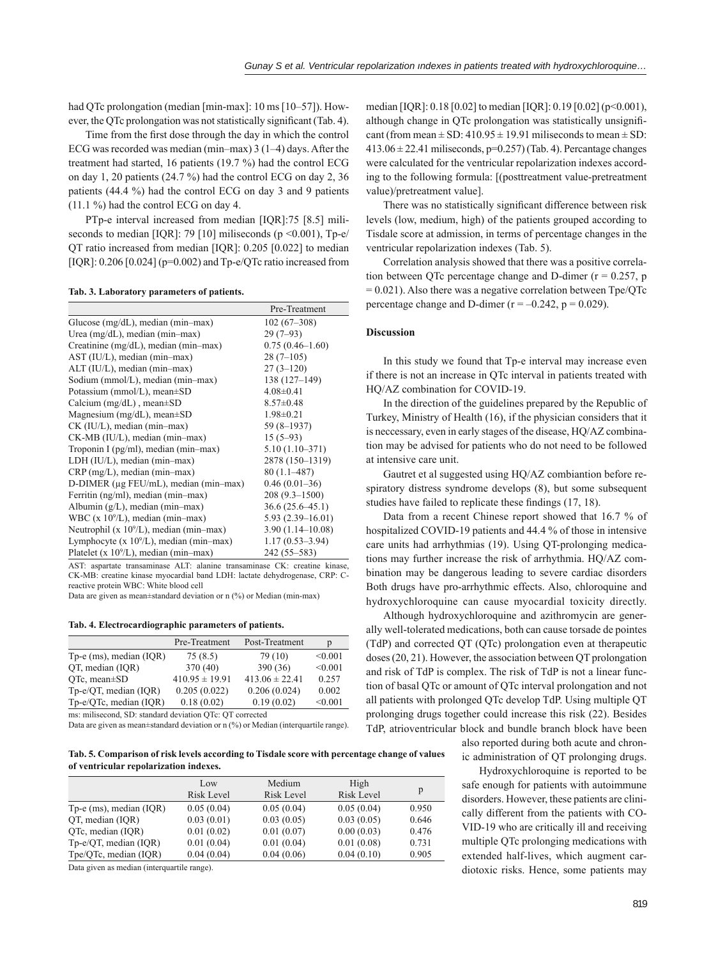had QTc prolongation (median [min-max]: 10 ms [10–57]). However, the QTc prolongation was not statistically significant (Tab. 4).

Time from the first dose through the day in which the control ECG was recorded was median (min–max) 3 (1–4) days. After the treatment had started, 16 patients (19.7 %) had the control ECG on day 1, 20 patients (24.7 %) had the control ECG on day 2, 36 patients (44.4 %) had the control ECG on day 3 and 9 patients (11.1 %) had the control ECG on day 4.

PTp-e interval increased from median [IQR]:75 [8.5] miliseconds to median [IQR]: 79 [10] miliseconds ( $p \le 0.001$ ), Tp-e/ QT ratio increased from median [IQR]: 0.205 [0.022] to median [IQR]:  $0.206$  [0.024] ( $p=0.002$ ) and Tp-e/QTc ratio increased from

**Tab. 3. Laboratory parameters of patients.**

|                                                   | Pre-Treatment        |
|---------------------------------------------------|----------------------|
| Glucose ( $mg/dL$ ), median ( $min-max$ )         | $102(67-308)$        |
| Urea (mg/dL), median (min-max)                    | $29(7-93)$           |
| Creatinine (mg/dL), median (min-max)              | $0.75(0.46 - 1.60)$  |
| AST (IU/L), median (min-max)                      | $28(7-105)$          |
| ALT (IU/L), median (min-max)                      | $27(3-120)$          |
| Sodium (mmol/L), median (min-max)                 | $138(127-149)$       |
| Potassium (mmol/L), mean±SD                       | $4.08 \pm 0.41$      |
| Calcium $(mg/dL)$ , mean $\pm SD$                 | $8.57 \pm 0.48$      |
| Magnesium (mg/dL), mean $\pm$ SD                  | $1.98 \pm 0.21$      |
| $CK$ (IU/L), median (min-max)                     | 59 (8-1937)          |
| $CK-MB (IU/L)$ , median (min-max)                 | $15(5-93)$           |
| Troponin I (pg/ml), median (min-max)              | $5.10(1.10-371)$     |
| LDH $(IU/L)$ , median $(min-max)$                 | 2878 (150-1319)      |
| $CRP$ (mg/L), median (min-max)                    | $80(1.1 - 487)$      |
| D-DIMER ( $\mu$ g FEU/mL), median (min-max)       | $0.46(0.01-36)$      |
| Ferritin (ng/ml), median (min-max)                | $208(9.3 - 1500)$    |
| Albumin (g/L), median (min-max)                   | $36.6(25.6-45.1)$    |
| WBC ( $x 10^9$ /L), median (min-max)              | $5.93(2.39 - 16.01)$ |
| Neutrophil (x $109/L$ ), median (min-max)         | $3.90(1.14 - 10.08)$ |
| Lymphocyte ( $x 10^9$ /L), median (min-max)       | $1.17(0.53 - 3.94)$  |
| Platelet (x 10 <sup>9</sup> /L), median (min-max) | 242 (55–583)         |

AST: aspartate transaminase ALT: alanine transaminase CK: creatine kinase, CK-MB: creatine kinase myocardial band LDH: lactate dehydrogenase, CRP: Creactive protein WBC: White blood cell

Data are given as mean±standard deviation or n (%) or Median (min-max)

#### **Tab. 4. Electrocardiographic parameters of patients.**

|                              | Pre-Treatment      | Post-Treatment     | D       |
|------------------------------|--------------------|--------------------|---------|
| Tp-e $(ms)$ , median $(IQR)$ | 75(8.5)            | 79 (10)            | < 0.001 |
| OT, median (IOR)             | 370 (40)           | 390 (36)           | < 0.001 |
| OTc, mean $\pm$ SD           | $410.95 \pm 19.91$ | $413.06 \pm 22.41$ | 0.257   |
| Tp-e/QT, median (IQR)        | 0.205(0.022)       | 0.206(0.024)       | 0.002   |
| Tp-e/QTc, median (IQR)       | 0.18(0.02)         | 0.19(0.02)         | < 0.001 |

ms: milisecond, SD: standard deviation QTc: QT corrected

Data are given as mean±standard deviation or n (%) or Median (interquartile range).

**Tab. 5. Comparison of risk levels according to Tisdale score with percentage change of values of ventricular repolarization indexes.**

|                              | Low<br>Risk Level | Medium<br>Risk Level | High<br>Risk Level | p     |
|------------------------------|-------------------|----------------------|--------------------|-------|
| Tp-e $(ms)$ , median $(IQR)$ | 0.05(0.04)        | 0.05(0.04)           | 0.05(0.04)         | 0.950 |
| OT, median (IOR)             | 0.03(0.01)        | 0.03(0.05)           | 0.03(0.05)         | 0.646 |
| QTc, median (IQR)            | 0.01(0.02)        | 0.01(0.07)           | 0.00(0.03)         | 0.476 |
| $Tp-e/QT$ , median $(IQR)$   | 0.01(0.04)        | 0.01(0.04)           | 0.01(0.08)         | 0.731 |
| $Tpe/QTe$ , median $(IQR)$   | 0.04(0.04)        | 0.04(0.06)           | 0.04(0.10)         | 0.905 |

Data given as median (interquartile range).

median [IQR]: 0.18 [0.02] to median [IQR]: 0.19 [0.02] (p<0.001), although change in QTc prolongation was statistically unsignifi cant (from mean  $\pm$  SD: 410.95  $\pm$  19.91 miliseconds to mean  $\pm$  SD:  $413.06 \pm 22.41$  miliseconds, p=0.257) (Tab. 4). Percantage changes were calculated for the ventricular repolarization indexes according to the following formula: [(posttreatment value-pretreatment value)/pretreatment value].

There was no statistically significant difference between risk levels (low, medium, high) of the patients grouped according to Tisdale score at admission, in terms of percentage changes in the ventricular repolarization indexes (Tab. 5).

Correlation analysis showed that there was a positive correlation between QTc percentage change and D-dimer ( $r = 0.257$ , p  $= 0.021$ ). Also there was a negative correlation between Tpe/QTc percentage change and D-dimer ( $r = -0.242$ ,  $p = 0.029$ ).

## **Discussion**

In this study we found that Tp-e interval may increase even if there is not an increase in QTc interval in patients treated with HQ/AZ combination for COVID-19.

In the direction of the guidelines prepared by the Republic of Turkey, Ministry of Health (16), if the physician considers that it is neccessary, even in early stages of the disease, HQ/AZ combination may be advised for patients who do not need to be followed at intensive care unit.

Gautret et al suggested using HQ/AZ combiantion before respiratory distress syndrome develops (8), but some subsequent studies have failed to replicate these findings (17, 18).

Data from a recent Chinese report showed that 16.7 % of hospitalized COVID-19 patients and 44.4 % of those in intensive care units had arrhythmias (19). Using QT-prolonging medications may further increase the risk of arrhythmia. HQ/AZ combination may be dangerous leading to severe cardiac disorders Both drugs have pro-arrhythmic effects. Also, chloroquine and hydroxychloroquine can cause myocardial toxicity directly.

Although hydroxychloroquine and azithromycin are generally well-tolerated medications, both can cause torsade de pointes (TdP) and corrected QT (QTc) prolongation even at therapeutic doses (20, 21). However, the association between QT prolongation and risk of TdP is complex. The risk of TdP is not a linear function of basal QTc or amount of QTc interval prolongation and not all patients with prolonged QTc develop TdP. Using multiple QT prolonging drugs together could increase this risk (22). Besides TdP, atrioventricular block and bundle branch block have been

> also reported during both acute and chronic administration of QT prolonging drugs.

> Hydroxychloroquine is reported to be safe enough for patients with autoimmune disorders. However, these patients are clinically different from the patients with CO-VID-19 who are critically ill and receiving multiple QTc prolonging medications with extended half-lives, which augment cardiotoxic risks. Hence, some patients may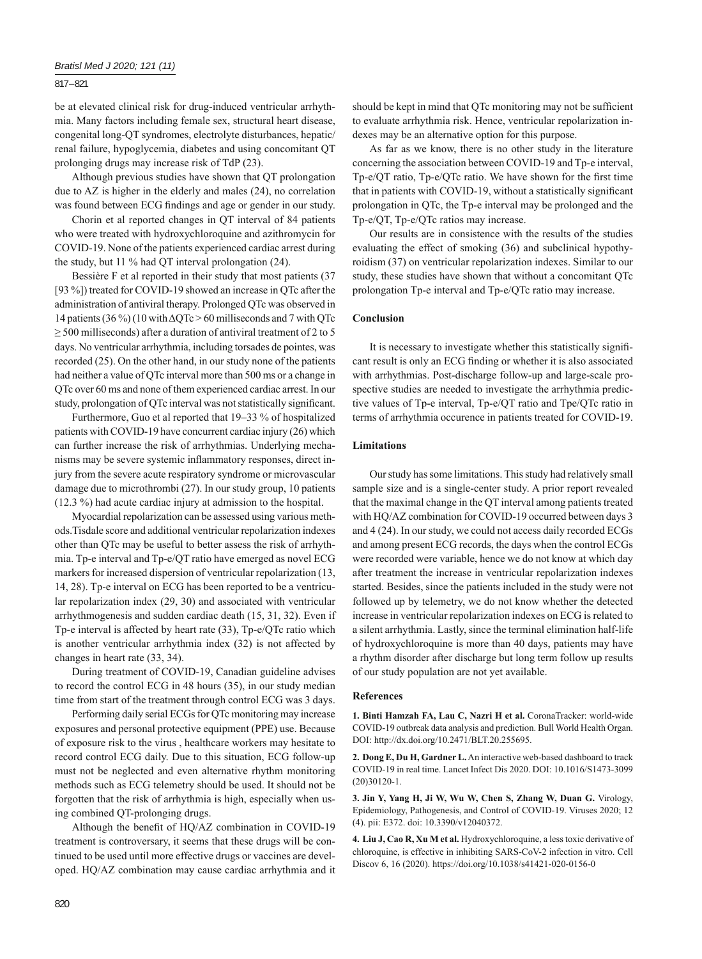817 – 821

be at elevated clinical risk for drug-induced ventricular arrhythmia. Many factors including female sex, structural heart disease, congenital long-QT syndromes, electrolyte disturbances, hepatic/ renal failure, hypoglycemia, diabetes and using concomitant QT prolonging drugs may increase risk of TdP (23).

Although previous studies have shown that QT prolongation due to AZ is higher in the elderly and males (24), no correlation was found between ECG findings and age or gender in our study.

Chorin et al reported changes in QT interval of 84 patients who were treated with hydroxychloroquine and azithromycin for COVID-19. None of the patients experienced cardiac arrest during the study, but 11 % had QT interval prolongation (24).

Bessière F et al reported in their study that most patients (37 [93 %]) treated for COVID-19 showed an increase in QTc after the administration of antiviral therapy. Prolonged QTc was observed in 14 patients (36 %) (10 with  $\Delta$ QTc > 60 milliseconds and 7 with QTc  $\geq$  500 milliseconds) after a duration of antiviral treatment of 2 to 5 days. No ventricular arrhythmia, including torsades de pointes, was recorded (25). On the other hand, in our study none of the patients had neither a value of QTc interval more than 500 ms or a change in QTc over 60 ms and none of them experienced cardiac arrest. In our study, prolongation of OTc interval was not statistically significant.

Furthermore, Guo et al reported that 19–33 % of hospitalized patients with COVID-19 have concurrent cardiac injury (26) which can further increase the risk of arrhythmias. Underlying mechanisms may be severe systemic inflammatory responses, direct injury from the severe acute respiratory syndrome or microvascular damage due to microthrombi (27). In our study group, 10 patients (12.3 %) had acute cardiac injury at admission to the hospital.

Myocardial repolarization can be assessed using various methods.Tisdale score and additional ventricular repolarization indexes other than QTc may be useful to better assess the risk of arrhythmia. Tp-e interval and Tp-e/QT ratio have emerged as novel ECG markers for increased dispersion of ventricular repolarization (13, 14, 28). Tp-e interval on ECG has been reported to be a ventricular repolarization index (29, 30) and associated with ventricular arrhythmogenesis and sudden cardiac death (15, 31, 32). Even if Tp-e interval is affected by heart rate (33), Tp-e/QTc ratio which is another ventricular arrhythmia index (32) is not affected by changes in heart rate (33, 34).

During treatment of COVID-19, Canadian guideline advises to record the control ECG in 48 hours (35), in our study median time from start of the treatment through control ECG was 3 days.

Performing daily serial ECGs for QTc monitoring may increase exposures and personal protective equipment (PPE) use. Because of exposure risk to the virus , healthcare workers may hesitate to record control ECG daily. Due to this situation, ECG follow-up must not be neglected and even alternative rhythm monitoring methods such as ECG telemetry should be used. It should not be forgotten that the risk of arrhythmia is high, especially when using combined QT-prolonging drugs.

Although the benefit of HQ/AZ combination in COVID-19 treatment is controversary, it seems that these drugs will be continued to be used until more effective drugs or vaccines are developed. HQ/AZ combination may cause cardiac arrhythmia and it should be kept in mind that QTc monitoring may not be sufficient to evaluate arrhythmia risk. Hence, ventricular repolarization indexes may be an alternative option for this purpose.

As far as we know, there is no other study in the literature concerning the association between COVID-19 and Tp-e interval, Tp-e/QT ratio, Tp-e/QTc ratio. We have shown for the first time that in patients with COVID-19, without a statistically significant prolongation in QTc, the Tp-e interval may be prolonged and the Tp-e/QT, Tp-e/QTc ratios may increase.

Our results are in consistence with the results of the studies evaluating the effect of smoking (36) and subclinical hypothyroidism (37) on ventricular repolarization indexes. Similar to our study, these studies have shown that without a concomitant QTc prolongation Tp-e interval and Tp-e/QTc ratio may increase.

### **Conclusion**

It is necessary to investigate whether this statistically significant result is only an ECG finding or whether it is also associated with arrhythmias. Post-discharge follow-up and large-scale prospective studies are needed to investigate the arrhythmia predictive values of Tp-e interval, Tp-e/QT ratio and Tpe/QTc ratio in terms of arrhythmia occurence in patients treated for COVID-19.

# **Limitations**

Our study has some limitations. This study had relatively small sample size and is a single-center study. A prior report revealed that the maximal change in the QT interval among patients treated with HQ/AZ combination for COVID-19 occurred between days 3 and 4 (24). In our study, we could not access daily recorded ECGs and among present ECG records, the days when the control ECGs were recorded were variable, hence we do not know at which day after treatment the increase in ventricular repolarization indexes started. Besides, since the patients included in the study were not followed up by telemetry, we do not know whether the detected increase in ventricular repolarization indexes on ECG is related to a silent arrhythmia. Lastly, since the terminal elimination half-life of hydroxychloroquine is more than 40 days, patients may have a rhythm disorder after discharge but long term follow up results of our study population are not yet available.

#### **References**

**1. Binti Hamzah FA, Lau C, Nazri H et al.** CoronaTracker: world-wide COVID-19 outbreak data analysis and prediction. Bull World Health Organ. DOI: http://dx.doi.org/10.2471/BLT.20.255695.

**2. Dong E, Du H, Gardner L.** An interactive web-based dashboard to track COVID-19 in real time. Lancet Infect Dis 2020. DOI: 10.1016/S1473-3099 (20)30120-1.

**3. Jin Y, Yang H, Ji W, Wu W, Chen S, Zhang W, Duan G.** Virology, Epidemiology, Pathogenesis, and Control of COVID-19. Viruses 2020; 12 (4). pii: E372. doi: 10.3390/v12040372.

**4. Liu J, Cao R, Xu M et al.** Hydroxychloroquine, a less toxic derivative of chloroquine, is effective in inhibiting SARS-CoV-2 infection in vitro. Cell Discov 6, 16 (2020). https://doi.org/10.1038/s41421-020-0156-0